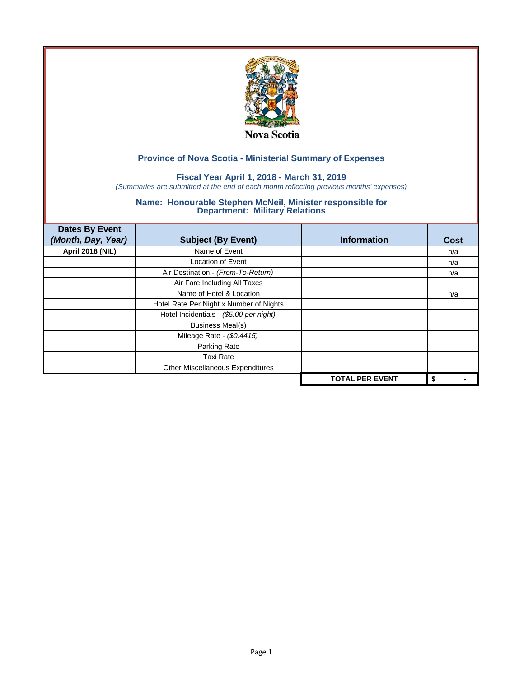

## **Fiscal Year April 1, 2018 - March 31, 2019**

*(Summaries are submitted at the end of each month reflecting previous months' expenses)*

| <b>Dates By Event</b>   |                                         |                        |             |
|-------------------------|-----------------------------------------|------------------------|-------------|
| (Month, Day, Year)      | <b>Subject (By Event)</b>               | <b>Information</b>     | <b>Cost</b> |
| <b>April 2018 (NIL)</b> | Name of Event                           |                        | n/a         |
|                         | <b>Location of Event</b>                |                        | n/a         |
|                         | Air Destination - (From-To-Return)      |                        | n/a         |
|                         | Air Fare Including All Taxes            |                        |             |
|                         | Name of Hotel & Location                |                        | n/a         |
|                         | Hotel Rate Per Night x Number of Nights |                        |             |
|                         | Hotel Incidentials - (\$5.00 per night) |                        |             |
|                         | <b>Business Meal(s)</b>                 |                        |             |
|                         | Mileage Rate - (\$0.4415)               |                        |             |
|                         | Parking Rate                            |                        |             |
|                         | <b>Taxi Rate</b>                        |                        |             |
|                         | Other Miscellaneous Expenditures        |                        |             |
|                         |                                         | <b>TOTAL PER EVENT</b> | \$          |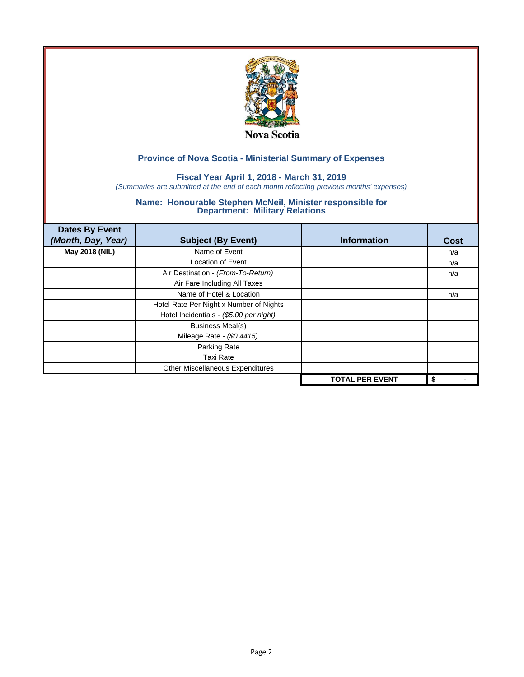

## **Fiscal Year April 1, 2018 - March 31, 2019**

*(Summaries are submitted at the end of each month reflecting previous months' expenses)*

| <b>Dates By Event</b><br>(Month, Day, Year) | <b>Subject (By Event)</b>               | <b>Information</b>     | <b>Cost</b> |
|---------------------------------------------|-----------------------------------------|------------------------|-------------|
| May 2018 (NIL)                              | Name of Event                           |                        | n/a         |
|                                             | <b>Location of Event</b>                |                        | n/a         |
|                                             | Air Destination - (From-To-Return)      |                        | n/a         |
|                                             | Air Fare Including All Taxes            |                        |             |
|                                             | Name of Hotel & Location                |                        | n/a         |
|                                             | Hotel Rate Per Night x Number of Nights |                        |             |
|                                             | Hotel Incidentials - (\$5.00 per night) |                        |             |
|                                             | <b>Business Meal(s)</b>                 |                        |             |
|                                             | Mileage Rate - (\$0.4415)               |                        |             |
|                                             | Parking Rate                            |                        |             |
|                                             | <b>Taxi Rate</b>                        |                        |             |
|                                             | Other Miscellaneous Expenditures        |                        |             |
|                                             |                                         | <b>TOTAL PER EVENT</b> | \$          |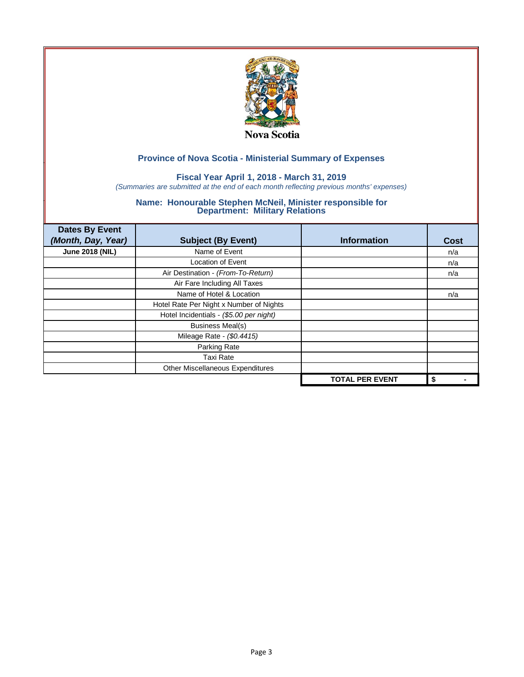

## **Fiscal Year April 1, 2018 - March 31, 2019**

*(Summaries are submitted at the end of each month reflecting previous months' expenses)*

| <b>Dates By Event</b>  |                                         |                        |      |
|------------------------|-----------------------------------------|------------------------|------|
| (Month, Day, Year)     | <b>Subject (By Event)</b>               | <b>Information</b>     | Cost |
| <b>June 2018 (NIL)</b> | Name of Event                           |                        | n/a  |
|                        | <b>Location of Event</b>                |                        | n/a  |
|                        | Air Destination - (From-To-Return)      |                        | n/a  |
|                        | Air Fare Including All Taxes            |                        |      |
|                        | Name of Hotel & Location                |                        | n/a  |
|                        | Hotel Rate Per Night x Number of Nights |                        |      |
|                        | Hotel Incidentials - (\$5.00 per night) |                        |      |
|                        | <b>Business Meal(s)</b>                 |                        |      |
|                        | Mileage Rate - (\$0.4415)               |                        |      |
|                        | Parking Rate                            |                        |      |
|                        | <b>Taxi Rate</b>                        |                        |      |
|                        | Other Miscellaneous Expenditures        |                        |      |
|                        |                                         | <b>TOTAL PER EVENT</b> | \$   |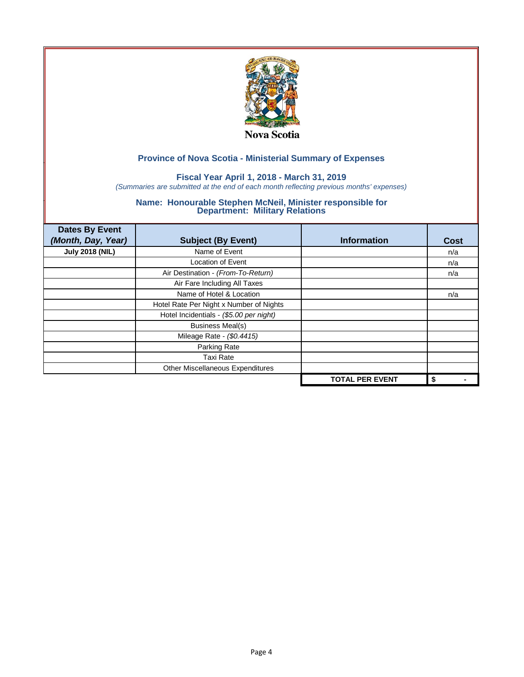

## **Fiscal Year April 1, 2018 - March 31, 2019**

*(Summaries are submitted at the end of each month reflecting previous months' expenses)*

| <b>Dates By Event</b>  |                                         |                        |      |
|------------------------|-----------------------------------------|------------------------|------|
| (Month, Day, Year)     | <b>Subject (By Event)</b>               | <b>Information</b>     | Cost |
| <b>July 2018 (NIL)</b> | Name of Event                           |                        | n/a  |
|                        | <b>Location of Event</b>                |                        | n/a  |
|                        | Air Destination - (From-To-Return)      |                        | n/a  |
|                        | Air Fare Including All Taxes            |                        |      |
|                        | Name of Hotel & Location                |                        | n/a  |
|                        | Hotel Rate Per Night x Number of Nights |                        |      |
|                        | Hotel Incidentials - (\$5.00 per night) |                        |      |
|                        | <b>Business Meal(s)</b>                 |                        |      |
|                        | Mileage Rate - (\$0.4415)               |                        |      |
|                        | Parking Rate                            |                        |      |
|                        | <b>Taxi Rate</b>                        |                        |      |
|                        | Other Miscellaneous Expenditures        |                        |      |
|                        |                                         | <b>TOTAL PER EVENT</b> | \$   |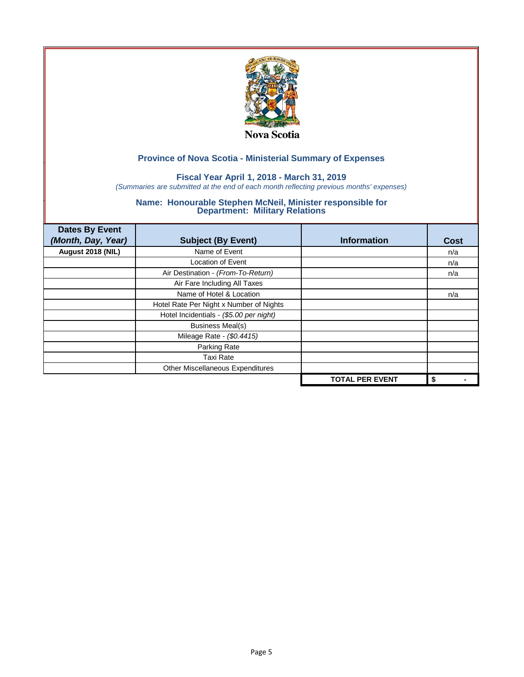

## **Fiscal Year April 1, 2018 - March 31, 2019**

*(Summaries are submitted at the end of each month reflecting previous months' expenses)*

| <b>Dates By Event</b><br>(Month, Day, Year) |                                         | <b>Information</b>     |      |
|---------------------------------------------|-----------------------------------------|------------------------|------|
|                                             | <b>Subject (By Event)</b>               |                        | Cost |
| August 2018 (NIL)                           | Name of Event                           |                        | n/a  |
|                                             | <b>Location of Event</b>                |                        | n/a  |
|                                             | Air Destination - (From-To-Return)      |                        | n/a  |
|                                             | Air Fare Including All Taxes            |                        |      |
|                                             | Name of Hotel & Location                |                        | n/a  |
|                                             | Hotel Rate Per Night x Number of Nights |                        |      |
|                                             | Hotel Incidentials - (\$5.00 per night) |                        |      |
|                                             | <b>Business Meal(s)</b>                 |                        |      |
|                                             | Mileage Rate - (\$0.4415)               |                        |      |
|                                             | Parking Rate                            |                        |      |
|                                             | <b>Taxi Rate</b>                        |                        |      |
|                                             | Other Miscellaneous Expenditures        |                        |      |
|                                             |                                         | <b>TOTAL PER EVENT</b> | \$   |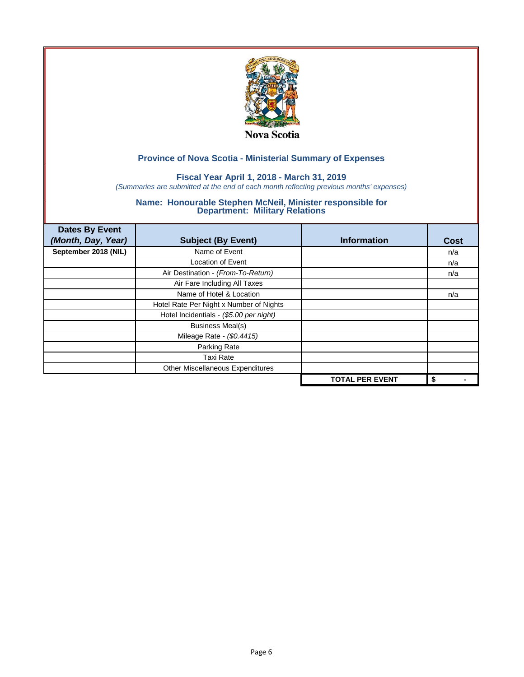

## **Fiscal Year April 1, 2018 - March 31, 2019**

*(Summaries are submitted at the end of each month reflecting previous months' expenses)*

| <b>Dates By Event</b><br>(Month, Day, Year) | <b>Subject (By Event)</b>               | <b>Information</b>     | Cost |
|---------------------------------------------|-----------------------------------------|------------------------|------|
| September 2018 (NIL)                        | Name of Event                           |                        | n/a  |
|                                             | <b>Location of Event</b>                |                        | n/a  |
|                                             | Air Destination - (From-To-Return)      |                        | n/a  |
|                                             | Air Fare Including All Taxes            |                        |      |
|                                             | Name of Hotel & Location                |                        | n/a  |
|                                             | Hotel Rate Per Night x Number of Nights |                        |      |
|                                             | Hotel Incidentials - (\$5.00 per night) |                        |      |
|                                             | <b>Business Meal(s)</b>                 |                        |      |
|                                             | Mileage Rate - (\$0.4415)               |                        |      |
|                                             | Parking Rate                            |                        |      |
|                                             | <b>Taxi Rate</b>                        |                        |      |
|                                             | Other Miscellaneous Expenditures        |                        |      |
|                                             |                                         | <b>TOTAL PER EVENT</b> | \$   |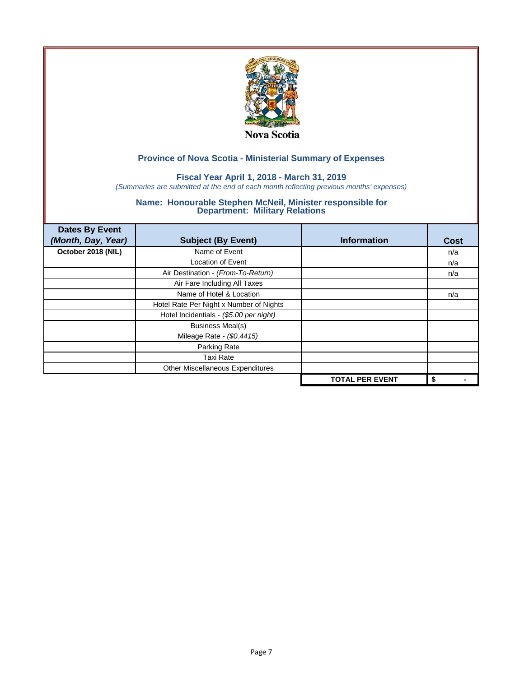

## **Fiscal Year April 1, 2018 - March 31, 2019**

*(Summaries are submitted at the end of each month reflecting previous months' expenses)*

| <b>Dates By Event</b><br>(Month, Day, Year) | <b>Subject (By Event)</b>               | <b>Information</b>     | Cost |
|---------------------------------------------|-----------------------------------------|------------------------|------|
|                                             |                                         |                        |      |
| October 2018 (NIL)                          | Name of Event                           |                        | n/a  |
|                                             | <b>Location of Event</b>                |                        | n/a  |
|                                             | Air Destination - (From-To-Return)      |                        | n/a  |
|                                             | Air Fare Including All Taxes            |                        |      |
|                                             | Name of Hotel & Location                |                        | n/a  |
|                                             | Hotel Rate Per Night x Number of Nights |                        |      |
|                                             | Hotel Incidentials - (\$5.00 per night) |                        |      |
|                                             | <b>Business Meal(s)</b>                 |                        |      |
|                                             | Mileage Rate - (\$0.4415)               |                        |      |
|                                             | Parking Rate                            |                        |      |
|                                             | <b>Taxi Rate</b>                        |                        |      |
|                                             | Other Miscellaneous Expenditures        |                        |      |
|                                             |                                         | <b>TOTAL PER EVENT</b> | \$   |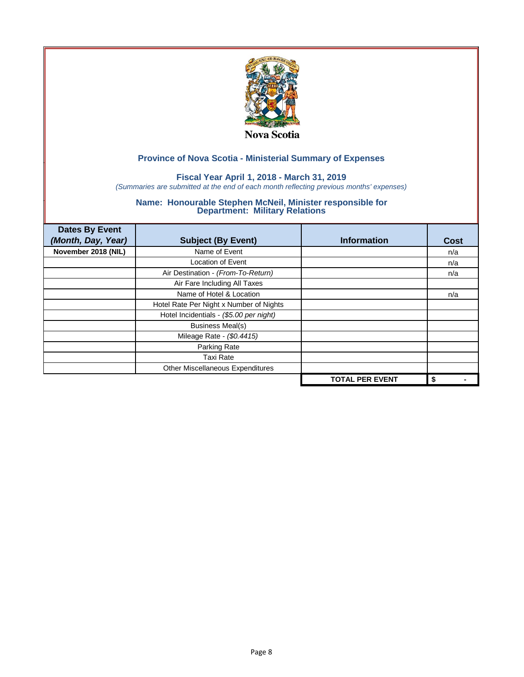

## **Fiscal Year April 1, 2018 - March 31, 2019**

*(Summaries are submitted at the end of each month reflecting previous months' expenses)*

| <b>Dates By Event</b><br>(Month, Day, Year) | <b>Subject (By Event)</b>               | <b>Information</b>     | Cost |
|---------------------------------------------|-----------------------------------------|------------------------|------|
| November 2018 (NIL)                         | Name of Event                           |                        | n/a  |
|                                             | <b>Location of Event</b>                |                        | n/a  |
|                                             | Air Destination - (From-To-Return)      |                        | n/a  |
|                                             | Air Fare Including All Taxes            |                        |      |
|                                             | Name of Hotel & Location                |                        | n/a  |
|                                             | Hotel Rate Per Night x Number of Nights |                        |      |
|                                             | Hotel Incidentials - (\$5.00 per night) |                        |      |
|                                             | <b>Business Meal(s)</b>                 |                        |      |
|                                             | Mileage Rate - (\$0.4415)               |                        |      |
|                                             | Parking Rate                            |                        |      |
|                                             | <b>Taxi Rate</b>                        |                        |      |
|                                             | Other Miscellaneous Expenditures        |                        |      |
|                                             |                                         | <b>TOTAL PER EVENT</b> | \$   |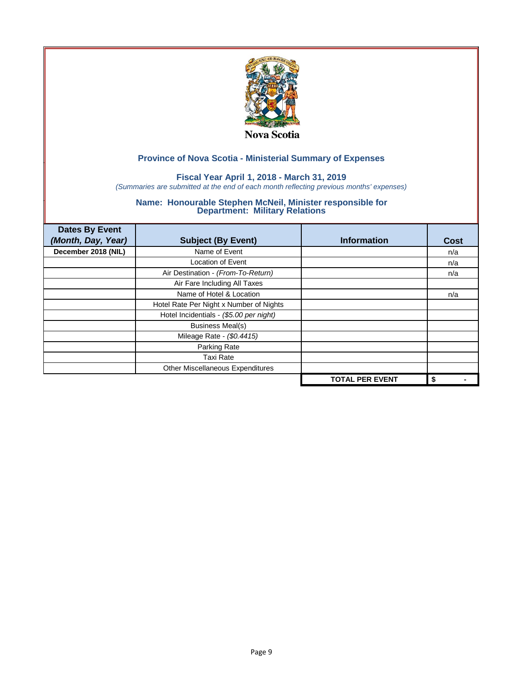

## **Fiscal Year April 1, 2018 - March 31, 2019**

*(Summaries are submitted at the end of each month reflecting previous months' expenses)*

| <b>Dates By Event</b><br>(Month, Day, Year) | <b>Subject (By Event)</b>               | <b>Information</b>     | Cost |
|---------------------------------------------|-----------------------------------------|------------------------|------|
| December 2018 (NIL)                         | Name of Event                           |                        | n/a  |
|                                             | <b>Location of Event</b>                |                        | n/a  |
|                                             | Air Destination - (From-To-Return)      |                        | n/a  |
|                                             | Air Fare Including All Taxes            |                        |      |
|                                             | Name of Hotel & Location                |                        | n/a  |
|                                             | Hotel Rate Per Night x Number of Nights |                        |      |
|                                             | Hotel Incidentials - (\$5.00 per night) |                        |      |
|                                             | <b>Business Meal(s)</b>                 |                        |      |
|                                             | Mileage Rate - (\$0.4415)               |                        |      |
|                                             | Parking Rate                            |                        |      |
|                                             | <b>Taxi Rate</b>                        |                        |      |
|                                             | Other Miscellaneous Expenditures        |                        |      |
|                                             |                                         | <b>TOTAL PER EVENT</b> | \$   |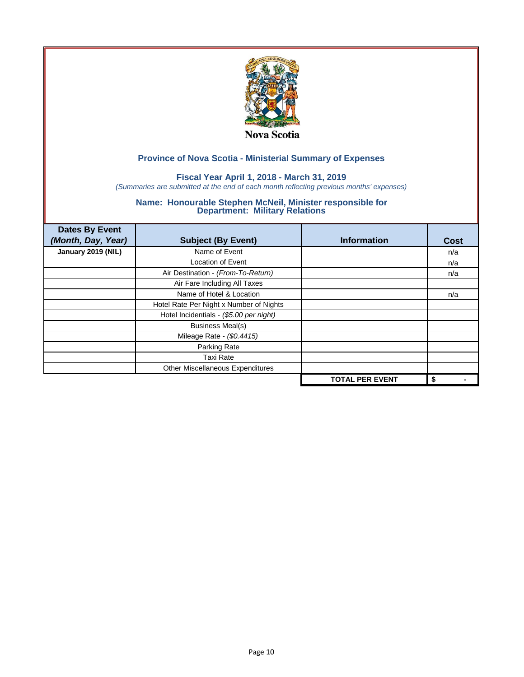

## **Fiscal Year April 1, 2018 - March 31, 2019**

*(Summaries are submitted at the end of each month reflecting previous months' expenses)*

| <b>Dates By Event</b><br>(Month, Day, Year) | <b>Subject (By Event)</b>               | <b>Information</b>     | <b>Cost</b> |
|---------------------------------------------|-----------------------------------------|------------------------|-------------|
| January 2019 (NIL)                          | Name of Event                           |                        | n/a         |
|                                             | <b>Location of Event</b>                |                        | n/a         |
|                                             | Air Destination - (From-To-Return)      |                        | n/a         |
|                                             | Air Fare Including All Taxes            |                        |             |
|                                             | Name of Hotel & Location                |                        | n/a         |
|                                             | Hotel Rate Per Night x Number of Nights |                        |             |
|                                             | Hotel Incidentials - (\$5.00 per night) |                        |             |
|                                             | <b>Business Meal(s)</b>                 |                        |             |
|                                             | Mileage Rate - (\$0.4415)               |                        |             |
|                                             | Parking Rate                            |                        |             |
|                                             | <b>Taxi Rate</b>                        |                        |             |
|                                             | Other Miscellaneous Expenditures        |                        |             |
|                                             |                                         | <b>TOTAL PER EVENT</b> | \$          |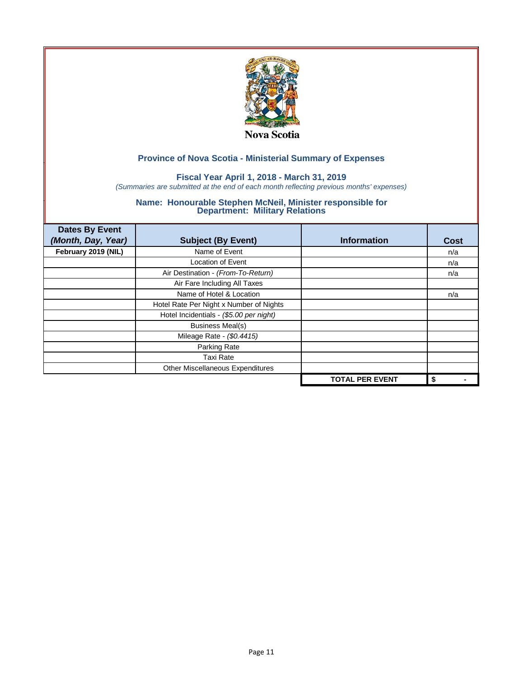

## **Fiscal Year April 1, 2018 - March 31, 2019**

*(Summaries are submitted at the end of each month reflecting previous months' expenses)*

| <b>Dates By Event</b><br>(Month, Day, Year) | <b>Subject (By Event)</b>               | <b>Information</b>     | <b>Cost</b> |
|---------------------------------------------|-----------------------------------------|------------------------|-------------|
| February 2019 (NIL)                         | Name of Event                           |                        | n/a         |
|                                             | <b>Location of Event</b>                |                        | n/a         |
|                                             | Air Destination - (From-To-Return)      |                        | n/a         |
|                                             | Air Fare Including All Taxes            |                        |             |
|                                             | Name of Hotel & Location                |                        | n/a         |
|                                             | Hotel Rate Per Night x Number of Nights |                        |             |
|                                             | Hotel Incidentials - (\$5.00 per night) |                        |             |
|                                             | <b>Business Meal(s)</b>                 |                        |             |
|                                             | Mileage Rate - (\$0.4415)               |                        |             |
|                                             | Parking Rate                            |                        |             |
|                                             | <b>Taxi Rate</b>                        |                        |             |
|                                             | Other Miscellaneous Expenditures        |                        |             |
|                                             |                                         | <b>TOTAL PER EVENT</b> | \$          |